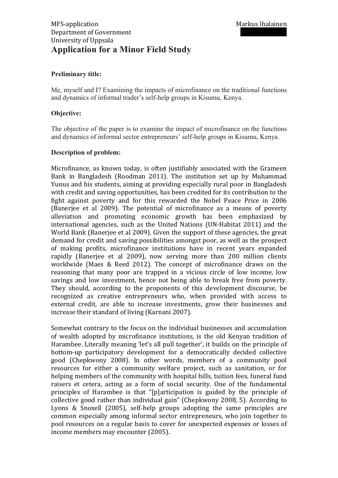### **Preliminary title:**

Me, myself and I? Examining the impacts of microfinance on the traditional functions and dynamics of informal trader's self-help groups in Kisumu, Kenya.

### **Objective:**

The objective of the paper is to examine the impact of microfinance on the functions and dynamics of informal sector entrepreneurs' self-help groups in Kisumu, Kenya.

#### **Description of problem:**

Microfinance, as known today, is often justifiably associated with the Grameen Bank in- Bangladesh (Roodman- 2011). The institution-set- up- by- Muhammad-Yunus and his-students, aiming at providing-especially-rural-poor-in-Bangladeshwith-credit and saving opportunities, has been credited for its contribution to the fight- against- poverty- and for this- rewarded the- Nobel- Peace- Price- in- 2006-(Banerjee et al- 2009). The potential of microfinance as a means- of- povertyalleviation- and- promoting- economic- growth- has- been- emphasized- byinternational-agencies, such as the United-Nations (UN-Habitat- 2011) and the World-Bank-(Banerjee-et-al-2009). Given the support of these agencies, the greatdemand-for-credit-and-saving-possibilities-amongst-poor, as-well-as-the-prospectof making- profits, microfinance institutions have in- recent- years- expandedrapidly (Banerjee et al- 2009), now serving more than- 200 million- clientsworldwide (Maes  $&$  Reed-2012). The concept of microfinance draws on thereasoning that- many-poor- are- trapped- in-a-vicious- circle- of- low- income, lowsavings and low investment, hence- not- being- able- to- break- free- from- poverty. They should, according to the proponents of this development discourse, berecognized as creative entrepreneurs who, when provided with access to external-credit, are able- to- increase- investments, grow- their- businesses- andincrease their standard of living (Karnani 2007).

Somewhat-contrary-to- the-focus-on-the-individual-businesses-and-accumulationof wealth-adopted- by- microfinance- institutions, is the-old- Kenyan-tradition- of-Harambee. Literally-meaning-'let's all-pull-together', it-builds-on-the-principle-ofbottom-up- participatory- development- for-a-democratically-decided-collectivegood (Chepkwony 2008). In other words, members of a community pool resources- for- either- a- community- welfare- project, such- as- sanitation, or- forhelping-members-of-the-community-with-hospital-bills, tuition-fees, funeral-fundraisers et cetera, acting- as a form- of- social- security. One- of- the- fundamentalprinciples- of- Harambee- is- that- "[p]articipation- is- guided- by- the-principle- ofcollective good rather than individual gain" (Chepkwony 2008, 5). According to-Lyons- &- Snoxell (2005), self-help-groups-adopting- the-same-principles-arecommon-especially-among-informal-sector-entrepreneurs, who-join-together- topool-resources-on-a-regular-basis-to-cover- for-unexpected-expenses-or-losses-ofincome members may encounter (2005).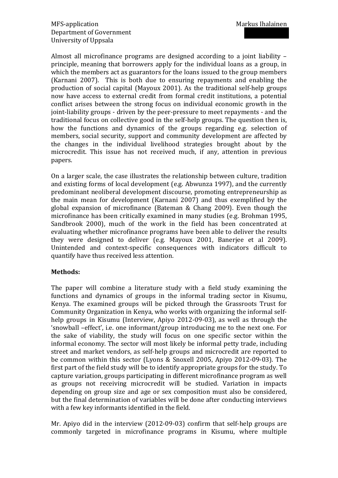Almost- all- microfinance- programs- are-designed-according- to-a-ioint-liabilityprinciple, meaning that borrowers apply for the individual loans as a group, inwhich the members act as guarantors for the loans issued to the group members-(Karnani- 2007). This is both-due-to- ensuring-repayments- and- enabling-theproduction of social capital (Mayoux 2001). As the traditional self-help groupsnow have access to external credit- from- formal- credit- institutions, a potentialconflict arises between the strong- focus- on- individual- economic-growth- in- thejoint-liability groups - driven by the peer-pressure to meet repayments - and the traditional focus on collective good in the self-help groups. The question then is, how the- functions and dynamics of the groups regarding e.g. selection of members, social-security, support-and-community-development-are-affected-bythe changes in the individual livelihood strategies brought about by the microcredit. This issue has not received much, if any, attention in previous papers.

On a larger-scale, the case-illustrates-the-relationship-between-culture, traditionand-existing-forms-of-local-development-(e.g. Abwunza-1997), and the currentlypredominant-neoliberal-development-discourse, promoting-entrepreneurship-asthe-main-mean- for- development (Karnani- 2007) and thus- exemplified- by- theglobal expansion of microfinance (Bateman & Chang- 2009). Even though themicrofinance-has-been-critically-examined-in-many-studies-(e.g.-Brohman-1995, Sandbrook 2000), much of the work in the field has been concentrated at evaluating whether-microfinance programs-have-been-able-to-deliver-the-resultsthey were designed to deliver (e.g. Mayoux 2001, Banerjee et al 2009). Unintended and context-specific consequences with indicators difficult to quantify have thus received less attention.

### **Methods:)**

The paper- will-combine- a- literature- study- with- a- field- study- examining- thefunctions- and- dynamics- of- groups- in- the- informal- trading-sector- in- Kisumu, Kenya. The examined groups will be picked through the Grassroots Trust for-Community-Organization in-Kenya, who-works-with-organizing-the-informal-selfhelp groups in- Kisumu- (Interview, Apiyo- 2012-09-03), as well as through the-'snowball –effect', i.e. one informant/group introducing me-to-the-next-one. Forthe-sake- of- viability, the-study- will- focus- on-one-specific-sector- within- theinformal-economy. The sector-will-most-likely-be-informal-petty-trade,-includingstreet and market vendors, as self-help groups and microcredit are reported to be-common- within- this-sector- (Lyons-&- Snoxell- 2005, Apiyo- 2012-09-03). Thefirst part of the field study will be to identify appropriate groups for the study. To capture-variation, groups-participating-in-different-microfinance-program-as-wellas groups not receiving microcredit will be studied. Variation in impacts depending on-group-size- and- age- or-sex- composition-must-also- be-considered, but-the-final-determination-of-variables-will-be-done-after-conducting-interviewswith a few key informants identified in the field.

Mr. Apiyo- did in the interview  $(2012-09-03)$  confirm that self-help-groups arecommonly- targeted- in- microfinance- programs- in- Kisumu,- where- multiple-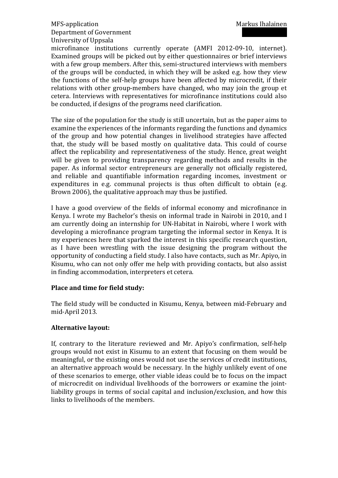# MFS-application Markus Ihalainen Department of Government University-of-Uppsala

microfinance institutions currently operate (AMFI 2012-09-10, internet). Examined groups will be picked out by either questionnaires or brief interviewswith a few group members. After this, semi-structured interviews with membersof the groups-will-be-conducted, in-which-they-will-be-asked-e.g. how-they-viewthe-functions-of- the-self-help-groups-have-been-affected-by-microcredit,-if- theirrelations with other group-members-have-changed, who-may-join-the-group-etcetera. Interviews with representatives for microfinance institutions could alsobe conducted, if designs of the programs need clarification.

The size of the population for the study is still uncertain, but as the paper aims to examine-the-experiences of the informants-regarding-the-functions-and-dynamicsof the group and how potential changes in livelihood strategies have affected that, the study will be based mostly on qualitative data. This could of course affect the-replicability-and-representativeness-of- the-study. Hence, great-weightwill- be- given- to- providing-transparency- regarding- methods- and- results- in- thepaper. As informal-sector- entrepreneurs- are- generally- not- officially-registered, and reliable and quantifiable information- regarding- incomes, investment- orexpenditures in e.g. communal projects is thus often difficult to obtain (e.g. Brown-2006), the qualitative approach may thus be justified.

I-have-a-good-overview- of- the- fields- of- informal-economy- and- microfinance- in-Kenya. I wrote my Bachelor's thesis on informal trade in Nairobi in 2010, and I am-currently-doing-an-internship- for-UN-Habitat-in-Nairobi, where I-work-withdeveloping a-microfinance-program-targeting-the-informal-sector-in-Kenya. It-ismy-experiences-here-that-sparked-the-interest-in-this-specific-research-question,as-I-have-been- wrestling- with- the- issue-designing- the-program- without- theopportunity-of-conducting a field-study. I also have contacts, such as Mr. Apiyo, in-Kisumu, who can not only offer me-help with providing contacts, but also assistin-finding-accommodation, interpreters et cetera.

## Place and time for field study:

The-field-study-will-be-conducted-in-Kisumu, Kenya, between-mid-February-andmid-April 2013.

## **Alternative)layout:)**

If, contrary to the literature-reviewed- and Mr. Apiyo's confirmation, self-helpgroups-would-not-exist-in-Kisumu to-an-extent- that- focusing-on- them-would-bemeaningful, or the existing ones would not use the services of credit institutions, an alternative approach would be necessary. In the highly unlikely event of oneof these scenarios to emerge, other viable ideas could be to focus on the impact of microcredit- on-individual-livelihoods- of- the-borrowers- or-examine- the-jointliability groups in terms of social capital and inclusion/exclusion, and how thislinks to livelihoods of the members.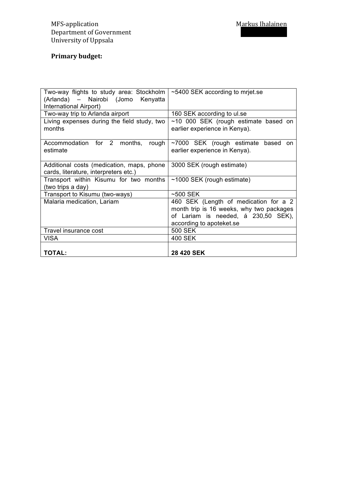# **Primary)budget:**

| Two-way flights to study area: Stockholm    | ~5400 SEK according to mriet.se          |
|---------------------------------------------|------------------------------------------|
| (Arlanda) – Nairobi (Jomo Kenyatta          |                                          |
| International Airport)                      |                                          |
| Two-way trip to Arlanda airport             | 160 SEK according to ul.se               |
| Living expenses during the field study, two | $~10$ 000 SEK (rough estimate based on   |
| months                                      | earlier experience in Kenya).            |
| Accommodation for 2 months,<br>rough        | ~7000 SEK (rough estimate based<br>on    |
| estimate                                    | earlier experience in Kenya).            |
|                                             |                                          |
| Additional costs (medication, maps, phone   | 3000 SEK (rough estimate)                |
| cards, literature, interpreters etc.)       |                                          |
| Transport within Kisumu for two months      | $~1000$ SEK (rough estimate)             |
| (two trips a day)                           |                                          |
| Transport to Kisumu (two-ways)              | $~500$ SEK                               |
| Malaria medication, Lariam                  | 460 SEK (Length of medication for a 2    |
|                                             | month trip is 16 weeks, why two packages |
|                                             | of Lariam is needed, á 230,50 SEK),      |
|                                             | according to apoteket.se                 |
| Travel insurance cost                       | <b>500 SEK</b>                           |
| VISA                                        | 400 SEK                                  |
|                                             |                                          |
| <b>TOTAL:</b>                               | 28 420 SEK                               |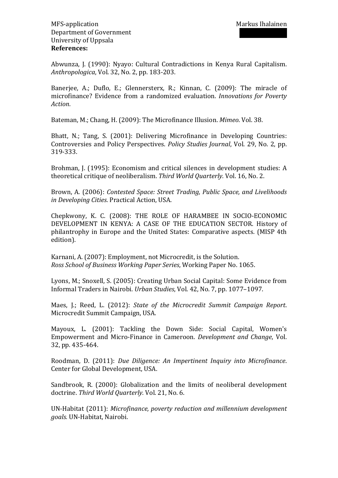Abwunza, J. (1990): Nyayo: Cultural Contradictions in Kenya Rural Capitalism. *Anthropologica*, Vol. 32, No. 2, pp. 183-203.

Banerjee, A.; Duflo, E.; Glennersterx, R.; Kinnan, C. (2009): The miracle of microfinance? Evidence from a randomized evaluation. *Innovations for Poverty Action*.

Bateman, M.; Chang, H. (2009): The Microfinance Illusion. *Mimeo*. Vol. 38.

Bhatt, N.; Tang, S. (2001): Delivering Microfinance in Developing Countries: Controversies and Policy Perspectives. *Policy Studies Journal*, Vol. 29, No. 2, pp. 319-333.

Brohman, J. (1995): Economism and critical silences in development studies: A theoretical critique of neoliberalism. Third World Quarterly. Vol. 16, No. 2.

Brown, A. (2006): *Contested Space: Street Trading, Public Space, and Livelihoods in Developing Cities. Practical Action, USA.* 

Chepkwony, K. C. (2008): THE ROLE OF HARAMBEE IN SOCIO-ECONOMIC DEVELOPMENT IN KENYA: A CASE OF THE EDUCATION SECTOR. History of philantrophy in-Europe and the United-States: Comparative aspects. (MISP-4thedition).

Karnani, A. (2007): Employment, not Microcredit, is the Solution. *Ross School of Business Working Paper Series*, Working Paper No. 1065.

Lyons, M.; Snoxell, S. (2005): Creating-Urban-Social-Capital: Some-Evidence-from-Informal-Traders-in-Nairobi.-*Urban0Studies*,-Vol.-42,-No.-7,-pp.-1077–1097.

Maes, J.; Reed, L. (2012): *State of the Microcredit Summit Campaign Report.* Microcredit Summit Campaign, USA.

Mayoux, L. (2001): Tackling the Down Side: Social Capital, Women's Empowerment and Micro-Finance in Cameroon. *Development and Change*, Vol. 32, pp. 435-464.

Roodman, D. (2011): *Due Diligence: An Impertinent Inquiry into Microfinance*. Center for Global Development, USA.

Sandbrook, R. (2000): Globalization and the limits of neoliberal developmentdoctrine. Third World Quarterly. Vol. 21, No. 6.

UN-Habitat (2011): *Microfinance, poverty reduction and millennium development* goals. UN-Habitat, Nairobi.